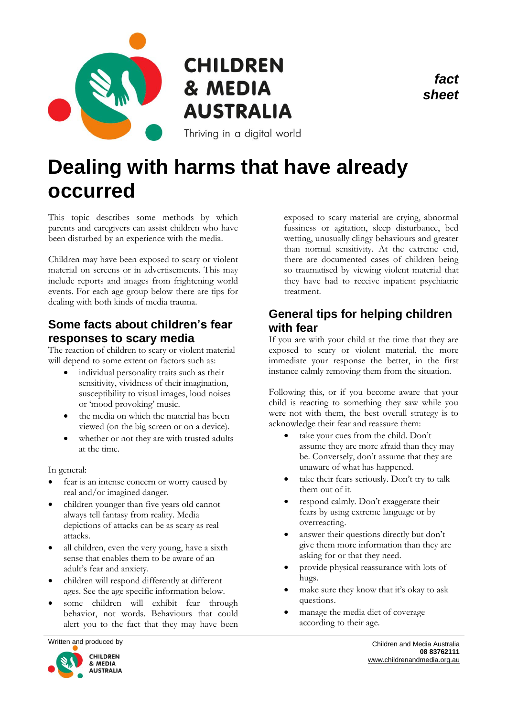

# **CHILDREN** & MEDIA **AUSTRALIA**

Thriving in a digital world

# **Dealing with harms that have already occurred**

This topic describes some methods by which parents and caregivers can assist children who have been disturbed by an experience with the media.

Children may have been exposed to scary or violent material on screens or in advertisements. This may include reports and images from frightening world events. For each age group below there are tips for dealing with both kinds of media trauma.

### **Some facts about children's fear responses to scary media**

The reaction of children to scary or violent material will depend to some extent on factors such as:

- individual personality traits such as their sensitivity, vividness of their imagination, susceptibility to visual images, loud noises or 'mood provoking' music.
- the media on which the material has been viewed (on the big screen or on a device).
- whether or not they are with trusted adults at the time.

In general:

- fear is an intense concern or worry caused by real and/or imagined danger.
- children younger than five years old cannot always tell fantasy from reality. Media depictions of attacks can be as scary as real attacks.
- all children, even the very young, have a sixth sense that enables them to be aware of an adult's fear and anxiety.
- children will respond differently at different ages. See the age specific information below.
- some children will exhibit fear through behavior, not words. Behaviours that could alert you to the fact that they may have been



exposed to scary material are crying, abnormal fussiness or agitation, sleep disturbance, bed wetting, unusually clingy behaviours and greater than normal sensitivity. At the extreme end, there are documented cases of children being so traumatised by viewing violent material that they have had to receive inpatient psychiatric treatment.

*fact sheet*

### **General tips for helping children with fear**

If you are with your child at the time that they are exposed to scary or violent material, the more immediate your response the better, in the first instance calmly removing them from the situation.

Following this, or if you become aware that your child is reacting to something they saw while you were not with them, the best overall strategy is to acknowledge their fear and reassure them:

- take your cues from the child. Don't assume they are more afraid than they may be. Conversely, don't assume that they are unaware of what has happened.
- take their fears seriously. Don't try to talk them out of it.
- respond calmly. Don't exaggerate their fears by using extreme language or by overreacting.
- answer their questions directly but don't give them more information than they are asking for or that they need.
- provide physical reassurance with lots of hugs.
- make sure they know that it's okay to ask questions.
- manage the media diet of coverage according to their age.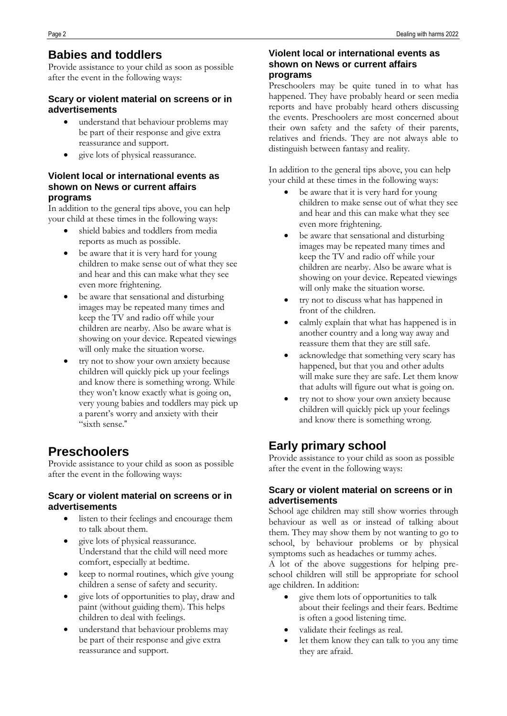### **Babies and toddlers**

Provide assistance to your child as soon as possible after the event in the following ways:

#### **Scary or violent material on screens or in advertisements**

- understand that behaviour problems may be part of their response and give extra reassurance and support.
- give lots of physical reassurance.

#### **Violent local or international events as shown on News or current affairs programs**

In addition to the general tips above, you can help your child at these times in the following ways:

- shield babies and toddlers from media reports as much as possible.
- be aware that it is very hard for young children to make sense out of what they see and hear and this can make what they see even more frightening.
- be aware that sensational and disturbing images may be repeated many times and keep the TV and radio off while your children are nearby. Also be aware what is showing on your device. Repeated viewings will only make the situation worse.
- try not to show your own anxiety because children will quickly pick up your feelings and know there is something wrong. While they won't know exactly what is going on, very young babies and toddlers may pick up a parent's worry and anxiety with their "sixth sense."

## **Preschoolers**

Provide assistance to your child as soon as possible after the event in the following ways:

### **Scary or violent material on screens or in advertisements**

- listen to their feelings and encourage them to talk about them.
- give lots of physical reassurance. Understand that the child will need more comfort, especially at bedtime.
- keep to normal routines, which give young children a sense of safety and security.
- give lots of opportunities to play, draw and paint (without guiding them). This helps children to deal with feelings.
- understand that behaviour problems may be part of their response and give extra reassurance and support.

### **Violent local or international events as shown on News or current affairs programs**

Preschoolers may be quite tuned in to what has happened. They have probably heard or seen media reports and have probably heard others discussing the events. Preschoolers are most concerned about their own safety and the safety of their parents, relatives and friends. They are not always able to distinguish between fantasy and reality.

In addition to the general tips above, you can help your child at these times in the following ways:

- be aware that it is very hard for young children to make sense out of what they see and hear and this can make what they see even more frightening.
- be aware that sensational and disturbing images may be repeated many times and keep the TV and radio off while your children are nearby. Also be aware what is showing on your device. Repeated viewings will only make the situation worse.
- try not to discuss what has happened in front of the children.
- calmly explain that what has happened is in another country and a long way away and reassure them that they are still safe.
- acknowledge that something very scary has happened, but that you and other adults will make sure they are safe. Let them know that adults will figure out what is going on.
- try not to show your own anxiety because children will quickly pick up your feelings and know there is something wrong.

## **Early primary school**

Provide assistance to your child as soon as possible after the event in the following ways:

### **Scary or violent material on screens or in advertisements**

School age children may still show worries through behaviour as well as or instead of talking about them. They may show them by not wanting to go to school, by behaviour problems or by physical symptoms such as headaches or tummy aches.

A lot of the above suggestions for helping preschool children will still be appropriate for school age children. In addition:

- give them lots of opportunities to talk about their feelings and their fears. Bedtime is often a good listening time.
- validate their feelings as real.
- let them know they can talk to you any time they are afraid.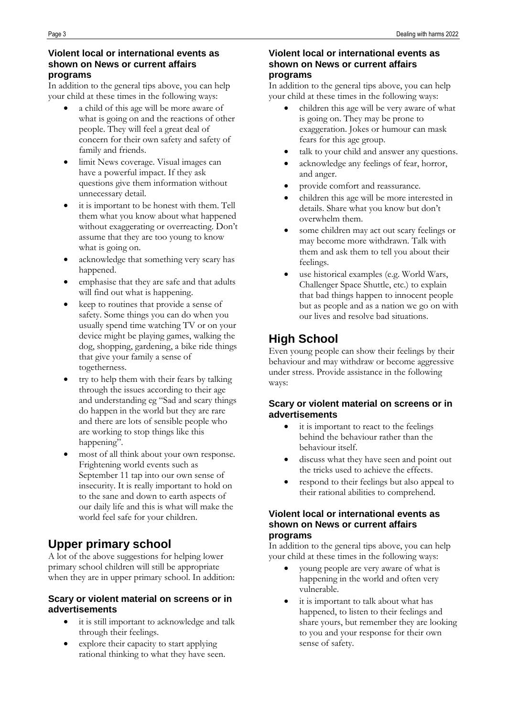### **Violent local or international events as shown on News or current affairs programs**

In addition to the general tips above, you can help your child at these times in the following ways:

- a child of this age will be more aware of what is going on and the reactions of other people. They will feel a great deal of concern for their own safety and safety of family and friends.
- limit News coverage. Visual images can have a powerful impact. If they ask questions give them information without unnecessary detail.
- it is important to be honest with them. Tell them what you know about what happened without exaggerating or overreacting. Don't assume that they are too young to know what is going on.
- acknowledge that something very scary has happened.
- emphasise that they are safe and that adults will find out what is happening.
- keep to routines that provide a sense of safety. Some things you can do when you usually spend time watching TV or on your device might be playing games, walking the dog, shopping, gardening, a bike ride things that give your family a sense of togetherness.
- try to help them with their fears by talking through the issues according to their age and understanding eg "Sad and scary things do happen in the world but they are rare and there are lots of sensible people who are working to stop things like this happening".
- most of all think about your own response. Frightening world events such as September 11 tap into our own sense of insecurity. It is really important to hold on to the sane and down to earth aspects of our daily life and this is what will make the world feel safe for your children.

## **Upper primary school**

A lot of the above suggestions for helping lower primary school children will still be appropriate when they are in upper primary school. In addition:

### **Scary or violent material on screens or in advertisements**

- it is still important to acknowledge and talk through their feelings.
- explore their capacity to start applying rational thinking to what they have seen.

### **Violent local or international events as shown on News or current affairs programs**

In addition to the general tips above, you can help your child at these times in the following ways:

- children this age will be very aware of what is going on. They may be prone to exaggeration. Jokes or humour can mask fears for this age group.
- talk to your child and answer any questions.
- acknowledge any feelings of fear, horror, and anger.
- provide comfort and reassurance.
- children this age will be more interested in details. Share what you know but don't overwhelm them.
- some children may act out scary feelings or may become more withdrawn. Talk with them and ask them to tell you about their feelings.
- use historical examples (e.g. World Wars, Challenger Space Shuttle, etc.) to explain that bad things happen to innocent people but as people and as a nation we go on with our lives and resolve bad situations.

## **High School**

Even young people can show their feelings by their behaviour and may withdraw or become aggressive under stress. Provide assistance in the following ways:

### **Scary or violent material on screens or in advertisements**

- it is important to react to the feelings behind the behaviour rather than the behaviour itself.
- discuss what they have seen and point out the tricks used to achieve the effects.
- respond to their feelings but also appeal to their rational abilities to comprehend.

#### **Violent local or international events as shown on News or current affairs programs**

In addition to the general tips above, you can help your child at these times in the following ways:

- young people are very aware of what is happening in the world and often very vulnerable.
- it is important to talk about what has happened, to listen to their feelings and share yours, but remember they are looking to you and your response for their own sense of safety.